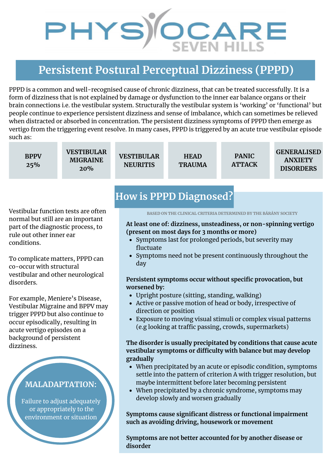# PHYS)<sup>CCARE</sup>

## **Persistent Postural Perceptual Dizziness (PPPD)**

PPPD is a common and well-recognised cause of chronic dizziness, that can be treated successfully. It is a form of dizziness that is not explained by damage or dysfunction to the inner ear balance organs or their brain connections i.e. the vestibular system. Structurally the vestibular system is 'working' or 'functional' but people continue to experience persistent dizziness and sense of imbalance, which can sometimes be relieved when distracted or absorbed in concentration. The persistent dizziness symptoms of PPPD then emerge as vertigo from the triggering event resolve. In many cases, PPPD is triggered by an acute true vestibular episode such as:

**BPPV 25%**

**VESTIBULAR MIGRAINE 20%**

**VESTIBULAR NEURITIS**

**HEAD TRAUMA**

**PANIC ATTACK** **GENERALISED ANXIETY DISORDERS**

Vestibular function tests are often normal but still are an important part of the diagnostic process, to rule out other inner ear conditions.

To complicate matters, PPPD can co-occur with structural vestibular and other neurological disorders.

For example, Meniere's Disease, Vestibular Migraine and BPPV may trigger PPPD but also continue to occur episodically, resulting in acute vertigo episodes on a background of persistent dizziness.

### **MALADAPTATION:**

Failure to adjust adequately or appropriately to the environment or situation

## **How is PPPD Diagnosed?**

**BASED ON THE CLINICAL CRITERIA DETERMINED BY THE BÁRÁNY SOCIETY**

#### **At least one of: dizziness, unsteadiness, or non-spinning vertigo (present on most days for 3 months or more)**

- Symptoms last for prolonged periods, but severity may fluctuate
- Symptoms need not be present continuously throughout the day

#### **Persistent symptoms occur without specific provocation, but worsened by:**

- Upright posture (sitting, standing, walking)
- Active or passive motion of head or body, irrespective of direction or position
- Exposure to moving visual stimuli or complex visual patterns (e.g looking at traffic passing, crowds, supermarkets)

#### **The disorder is usually precipitated by conditions that cause acute vestibular symptoms or difficulty with balance but may develop gradually**

- When precipitated by an acute or episodic condition, symptoms settle into the pattern of criterion A with trigger resolution, but maybe intermittent before later becoming persistent
- When precipitated by a chronic syndrome, symptoms may develop slowly and worsen gradually

**Symptoms cause significant distress or functional impairment such as avoiding driving, housework or movement**

**Symptoms are not better accounted for by another disease or disorder**